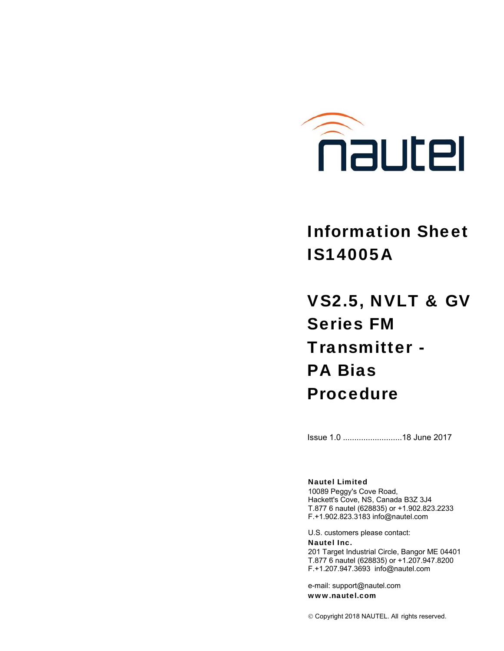

# Information Sheet IS14005A

VS2.5, NVLT & GV Series FM Transmitter - PA Bias Procedure

Issue 1.0 .......................... 18 June 2017

#### Nautel Limited

10089 Peggy's Cove Road, Hackett's Cove, NS, Canada B3Z 3J4 T.877 6 nautel (628835) or +1.902.823.2233 F.+1.902.823.3183 info@nautel.com

U.S. customers please contact: Nautel Inc.

201 Target Industrial Circle, Bangor ME 04401 T.877 6 nautel (628835) or +1.207.947.8200 F.+1.207.947.3693 info@nautel.com

e-mail: support@nautel.com www.nautel.com

Copyright 2018 NAUTEL. All rights reserved.